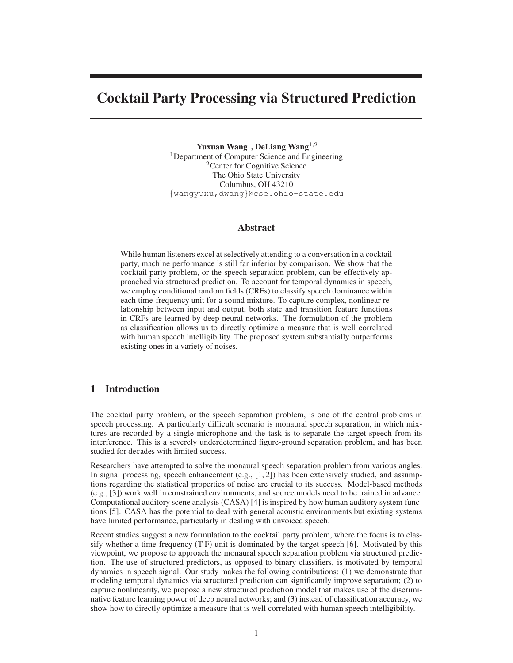# **Cocktail Party Processing via Structured Prediction**

**Yuxuan Wang**<sup>1</sup> **, DeLiang Wang**<sup>1</sup>,<sup>2</sup> <sup>1</sup>Department of Computer Science and Engineering <sup>2</sup>Center for Cognitive Science The Ohio State University Columbus, OH 43210 {wangyuxu,dwang}@cse.ohio-state.edu

### **Abstract**

While human listeners excel at selectively attending to a conversation in a cocktail party, machine performance is still far inferior by comparison. We show that the cocktail party problem, or the speech separation problem, can be effectively approached via structured prediction. To account for temporal dynamics in speech, we employ conditional random fields (CRFs) to classify speech dominance within each time-frequency unit for a sound mixture. To capture complex, nonlinear relationship between input and output, both state and transition feature functions in CRFs are learned by deep neural networks. The formulation of the problem as classification allows us to directly optimize a measure that is well correlated with human speech intelligibility. The proposed system substantially outperforms existing ones in a variety of noises.

### **1 Introduction**

The cocktail party problem, or the speech separation problem, is one of the central problems in speech processing. A particularly difficult scenario is monaural speech separation, in which mixtures are recorded by a single microphone and the task is to separate the target speech from its interference. This is a severely underdetermined figure-ground separation problem, and has been studied for decades with limited success.

Researchers have attempted to solve the monaural speech separation problem from various angles. In signal processing, speech enhancement  $(e.g., [1, 2])$  has been extensively studied, and assumptions regarding the statistical properties of noise are crucial to its success. Model-based methods (e.g., [3]) work well in constrained environments, and source models need to be trained in advance. Computational auditory scene analysis (CASA) [4] is inspired by how human auditory system functions [5]. CASA has the potential to deal with general acoustic environments but existing systems have limited performance, particularly in dealing with unvoiced speech.

Recent studies suggest a new formulation to the cocktail party problem, where the focus is to classify whether a time-frequency (T-F) unit is dominated by the target speech [6]. Motivated by this viewpoint, we propose to approach the monaural speech separation problem via structured prediction. The use of structured predictors, as opposed to binary classifiers, is motivated by temporal dynamics in speech signal. Our study makes the following contributions: (1) we demonstrate that modeling temporal dynamics via structured prediction can significantly improve separation; (2) to capture nonlinearity, we propose a new structured prediction model that makes use of the discriminative feature learning power of deep neural networks; and (3) instead of classification accuracy, we show how to directly optimize a measure that is well correlated with human speech intelligibility.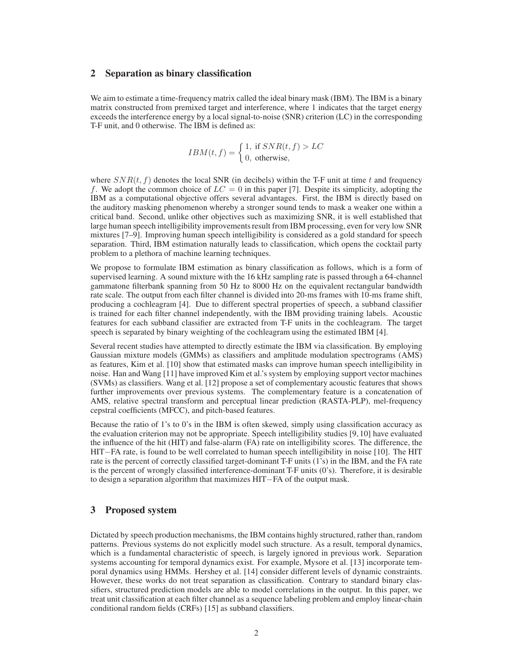## **2 Separation as binary classification**

We aim to estimate a time-frequency matrix called the ideal binary mask (IBM). The IBM is a binary matrix constructed from premixed target and interference, where 1 indicates that the target energy exceeds the interference energy by a local signal-to-noise (SNR) criterion (LC) in the corresponding T-F unit, and 0 otherwise. The IBM is defined as:

$$
IBM(t, f) = \begin{cases} 1, & \text{if } SNR(t, f) > LC \\ 0, & \text{otherwise,} \end{cases}
$$

where  $SNR(t, f)$  denotes the local SNR (in decibels) within the T-F unit at time t and frequency f. We adopt the common choice of  $LC = 0$  in this paper [7]. Despite its simplicity, adopting the IBM as a computational objective offers several advantages. First, the IBM is directly based on the auditory masking phenomenon whereby a stronger sound tends to mask a weaker one within a critical band. Second, unlike other objectives such as maximizing SNR, it is well established that large human speech intelligibility improvements result from IBM processing, even for very low SNR mixtures [7–9]. Improving human speech intelligibility is considered as a gold standard for speech separation. Third, IBM estimation naturally leads to classification, which opens the cocktail party problem to a plethora of machine learning techniques.

We propose to formulate IBM estimation as binary classification as follows, which is a form of supervised learning. A sound mixture with the 16 kHz sampling rate is passed through a 64-channel gammatone filterbank spanning from 50 Hz to 8000 Hz on the equivalent rectangular bandwidth rate scale. The output from each filter channel is divided into 20-ms frames with 10-ms frame shift, producing a cochleagram [4]. Due to different spectral properties of speech, a subband classifier is trained for each filter channel independently, with the IBM providing training labels. Acoustic features for each subband classifier are extracted from T-F units in the cochleagram. The target speech is separated by binary weighting of the cochleagram using the estimated IBM [4].

Several recent studies have attempted to directly estimate the IBM via classification. By employing Gaussian mixture models (GMMs) as classifiers and amplitude modulation spectrograms (AMS) as features, Kim et al. [10] show that estimated masks can improve human speech intelligibility in noise. Han and Wang [11] have improved Kim et al.'s system by employing support vector machines (SVMs) as classifiers. Wang et al. [12] propose a set of complementary acoustic features that shows further improvements over previous systems. The complementary feature is a concatenation of AMS, relative spectral transform and perceptual linear prediction (RASTA-PLP), mel-frequency cepstral coefficients (MFCC), and pitch-based features.

Because the ratio of 1's to 0's in the IBM is often skewed, simply using classification accuracy as the evaluation criterion may not be appropriate. Speech intelligibility studies [9, 10] have evaluated the influence of the hit (HIT) and false-alarm (FA) rate on intelligibility scores. The difference, the HIT−FA rate, is found to be well correlated to human speech intelligibility in noise [10]. The HIT rate is the percent of correctly classified target-dominant T-F units (1's) in the IBM, and the FA rate is the percent of wrongly classified interference-dominant T-F units (0's). Therefore, it is desirable to design a separation algorithm that maximizes HIT−FA of the output mask.

# **3 Proposed system**

Dictated by speech production mechanisms, the IBM contains highly structured, rather than, random patterns. Previous systems do not explicitly model such structure. As a result, temporal dynamics, which is a fundamental characteristic of speech, is largely ignored in previous work. Separation systems accounting for temporal dynamics exist. For example, Mysore et al. [13] incorporate temporal dynamics using HMMs. Hershey et al. [14] consider different levels of dynamic constraints. However, these works do not treat separation as classification. Contrary to standard binary classifiers, structured prediction models are able to model correlations in the output. In this paper, we treat unit classification at each filter channel as a sequence labeling problem and employ linear-chain conditional random fields (CRFs) [15] as subband classifiers.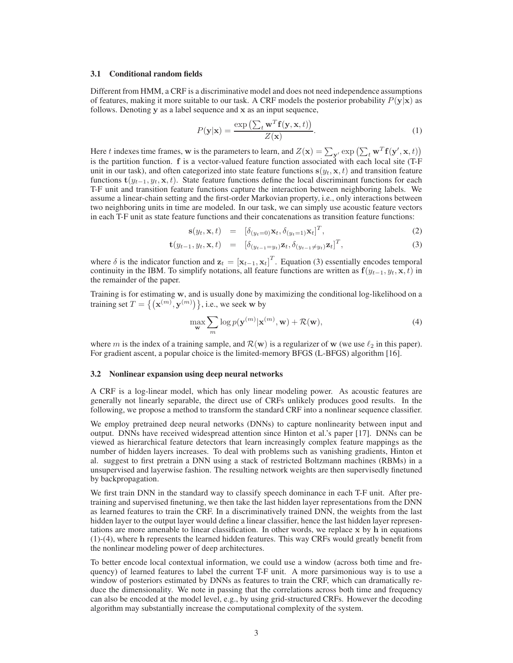#### **3.1 Conditional random fields**

Different from HMM, a CRF is a discriminative model and does not need independence assumptions of features, making it more suitable to our task. A CRF models the posterior probability  $P(y|x)$  as follows. Denoting y as a label sequence and x as an input sequence,

$$
P(\mathbf{y}|\mathbf{x}) = \frac{\exp\left(\sum_{t} \mathbf{w}^{T} \mathbf{f}(\mathbf{y}, \mathbf{x}, t)\right)}{Z(\mathbf{x})}.
$$
 (1)

Here t indexes time frames, w is the parameters to learn, and  $Z(\mathbf{x}) = \sum_{\mathbf{y}'} \exp \left( \sum_{t} \mathbf{w}^T \mathbf{f}(\mathbf{y}', \mathbf{x}, t) \right)$ is the partition function. f is a vector-valued feature function associated with each local site (T-F unit in our task), and often categorized into state feature functions  $s(y_t, x, t)$  and transition feature functions  $\mathbf{t}(y_{t-1}, y_t, \mathbf{x}, t)$ . State feature functions define the local discriminant functions for each T-F unit and transition feature functions capture the interaction between neighboring labels. We assume a linear-chain setting and the first-order Markovian property, i.e., only interactions between two neighboring units in time are modeled. In our task, we can simply use acoustic feature vectors in each T-F unit as state feature functions and their concatenations as transition feature functions:

$$
\mathbf{s}(y_t, \mathbf{x}, t) = [\delta_{(y_t=0)} \mathbf{x}_t, \delta_{(y_t=1)} \mathbf{x}_t]^T,
$$
\n(2)

$$
\mathbf{t}(y_{t-1}, y_t, \mathbf{x}, t) = [\delta_{(y_{t-1}=y_t)} \mathbf{z}_t, \delta_{(y_{t-1}\neq y_t)} \mathbf{z}_t]^T,
$$
\n(3)

where  $\delta$  is the indicator function and  $\mathbf{z}_t = [\mathbf{x}_{t-1}, \mathbf{x}_t]^T$ . Equation (3) essentially encodes temporal continuity in the IBM. To simplify notations, all feature functions are written as  $f(y_{t-1}, y_t, x, t)$  in the remainder of the paper.

Training is for estimating w, and is usually done by maximizing the conditional log-likelihood on a training set  $T = \{ (\mathbf{x}^{(m)}, \mathbf{y}^{(m)}) \}$ , i.e., we seek w by

$$
\max_{\mathbf{w}} \sum_{m} \log p(\mathbf{y}^{(m)} | \mathbf{x}^{(m)}, \mathbf{w}) + \mathcal{R}(\mathbf{w}),
$$
\n(4)

where m is the index of a training sample, and  $\mathcal{R}(w)$  is a regularizer of w (we use  $\ell_2$  in this paper). For gradient ascent, a popular choice is the limited-memory BFGS (L-BFGS) algorithm [16].

#### **3.2 Nonlinear expansion using deep neural networks**

A CRF is a log-linear model, which has only linear modeling power. As acoustic features are generally not linearly separable, the direct use of CRFs unlikely produces good results. In the following, we propose a method to transform the standard CRF into a nonlinear sequence classifier.

We employ pretrained deep neural networks (DNNs) to capture nonlinearity between input and output. DNNs have received widespread attention since Hinton et al.'s paper [17]. DNNs can be viewed as hierarchical feature detectors that learn increasingly complex feature mappings as the number of hidden layers increases. To deal with problems such as vanishing gradients, Hinton et al. suggest to first pretrain a DNN using a stack of restricted Boltzmann machines (RBMs) in a unsupervised and layerwise fashion. The resulting network weights are then supervisedly finetuned by backpropagation.

We first train DNN in the standard way to classify speech dominance in each T-F unit. After pretraining and supervised finetuning, we then take the last hidden layer representations from the DNN as learned features to train the CRF. In a discriminatively trained DNN, the weights from the last hidden layer to the output layer would define a linear classifier, hence the last hidden layer representations are more amenable to linear classification. In other words, we replace  $x$  by  $h$  in equations (1)-(4), where h represents the learned hidden features. This way CRFs would greatly benefit from the nonlinear modeling power of deep architectures.

To better encode local contextual information, we could use a window (across both time and frequency) of learned features to label the current T-F unit. A more parsimonious way is to use a window of posteriors estimated by DNNs as features to train the CRF, which can dramatically reduce the dimensionality. We note in passing that the correlations across both time and frequency can also be encoded at the model level, e.g., by using grid-structured CRFs. However the decoding algorithm may substantially increase the computational complexity of the system.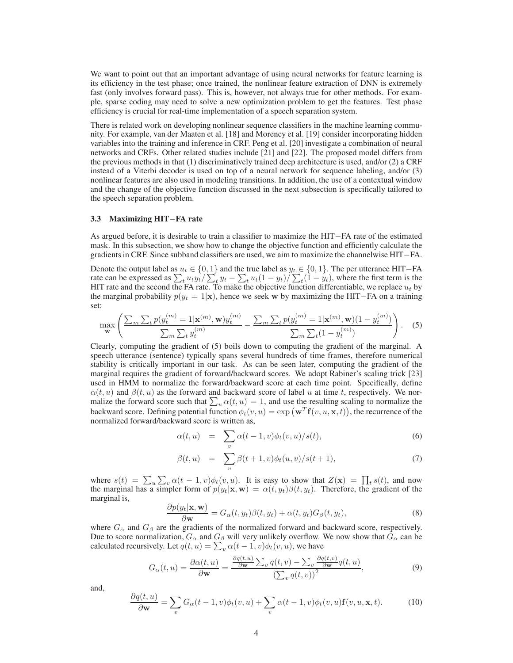We want to point out that an important advantage of using neural networks for feature learning is its efficiency in the test phase; once trained, the nonlinear feature extraction of DNN is extremely fast (only involves forward pass). This is, however, not always true for other methods. For example, sparse coding may need to solve a new optimization problem to get the features. Test phase efficiency is crucial for real-time implementation of a speech separation system.

There is related work on developing nonlinear sequence classifiers in the machine learning community. For example, van der Maaten et al. [18] and Morency et al. [19] consider incorporating hidden variables into the training and inference in CRF. Peng et al. [20] investigate a combination of neural networks and CRFs. Other related studies include [21] and [22]. The proposed model differs from the previous methods in that (1) discriminatively trained deep architecture is used, and/or (2) a CRF instead of a Viterbi decoder is used on top of a neural network for sequence labeling, and/or (3) nonlinear features are also used in modeling transitions. In addition, the use of a contextual window and the change of the objective function discussed in the next subsection is specifically tailored to the speech separation problem.

#### **3.3 Maximizing HIT**−**FA rate**

As argued before, it is desirable to train a classifier to maximize the HIT−FA rate of the estimated mask. In this subsection, we show how to change the objective function and efficiently calculate the gradients in CRF. Since subband classifiers are used, we aim to maximize the channelwise HIT−FA.

Denote the output label as  $u_t \in \{0, 1\}$  and the true label as  $y_t \in \{0, 1\}$ . The per utterance HIT–FA rate can be expressed as  $\sum_t u_t y_t / \sum_t y_t - \sum_t u_t (1 - y_t) / \sum_t (1 - y_t)$ , where the first term is the HIT rate and the second the FA rate. To make the objective function differentiable, we replace  $u_t$  by the marginal probability  $p(y_t = 1|x)$ , hence we seek w by maximizing the HIT–FA on a training set:

$$
\max_{\mathbf{w}} \left( \frac{\sum_{m} \sum_{t} p(y_t^{(m)} = 1 | \mathbf{x}^{(m)}, \mathbf{w}) y_t^{(m)}}{\sum_{m} \sum_{t} y_t^{(m)}} - \frac{\sum_{m} \sum_{t} p(y_t^{(m)} = 1 | \mathbf{x}^{(m)}, \mathbf{w}) (1 - y_t^{(m)})}{\sum_{m} \sum_{t} (1 - y_t^{(m)})} \right). \tag{5}
$$

Clearly, computing the gradient of (5) boils down to computing the gradient of the marginal. A speech utterance (sentence) typically spans several hundreds of time frames, therefore numerical stability is critically important in our task. As can be seen later, computing the gradient of the marginal requires the gradient of forward/backward scores. We adopt Rabiner's scaling trick [23] used in HMM to normalize the forward/backward score at each time point. Specifically, define  $\alpha(t, u)$  and  $\beta(t, u)$  as the forward and backward score of label u at time t, respectively. We normalize the forward score such that  $\sum_{u} \alpha(t, u) = 1$ , and use the resulting scaling to normalize the backward score. Defining potential function  $\phi_t(v, u) = \exp\left(\mathbf{w}^T\mathbf{f}(v, u, \mathbf{x}, t)\right)$ , the recurrence of the normalized forward/backward score is written as,

$$
\alpha(t, u) = \sum_{v} \alpha(t - 1, v)\phi_t(v, u)/s(t), \qquad (6)
$$

$$
\beta(t, u) = \sum_{v} \beta(t+1, v)\phi_t(u, v)/s(t+1), \tag{7}
$$

where  $s(t) = \sum_{u} \sum_{v} \alpha(t-1,v) \phi_t(v,u)$ . It is easy to show that  $Z(\mathbf{x}) = \prod_{t} s(t)$ , and now the marginal has a simpler form of  $p(y_t|\mathbf{x}, \mathbf{w}) = \alpha(t, y_t)\beta(t, y_t)$ . Therefore, the gradient of the marginal is,

$$
\frac{\partial p(y_t|\mathbf{x}, \mathbf{w})}{\partial \mathbf{w}} = G_{\alpha}(t, y_t) \beta(t, y_t) + \alpha(t, y_t) G_{\beta}(t, y_t),
$$
\n(8)

where  $G_{\alpha}$  and  $G_{\beta}$  are the gradients of the normalized forward and backward score, respectively. Due to score normalization,  $G_{\alpha}$  and  $G_{\beta}$  will very unlikely overflow. We now show that  $G_{\alpha}$  can be calculated recursively. Let  $q(t, u) = \sum_{v} \alpha(t - 1, v) \phi_t(v, u)$ , we have

$$
G_{\alpha}(t,u) = \frac{\partial \alpha(t,u)}{\partial \mathbf{w}} = \frac{\frac{\partial q(t,u)}{\partial \mathbf{w}} \sum_{v} q(t,v) - \sum_{v} \frac{\partial q(t,v)}{\partial \mathbf{w}} q(t,u)}{\left(\sum_{v} q(t,v)\right)^2},\tag{9}
$$

and,

$$
\frac{\partial q(t, u)}{\partial \mathbf{w}} = \sum_{v} G_{\alpha}(t - 1, v)\phi_t(v, u) + \sum_{v} \alpha(t - 1, v)\phi_t(v, u)\mathbf{f}(v, u, \mathbf{x}, t).
$$
(10)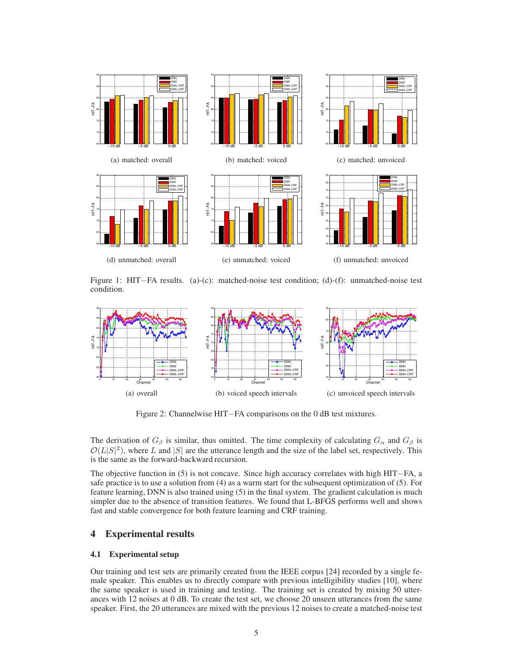

Figure 1: HIT−FA results. (a)-(c): matched-noise test condition; (d)-(f): unmatched-noise test condition.



Figure 2: Channelwise HIT−FA comparisons on the 0 dB test mixtures.

The derivation of  $G_\beta$  is similar, thus omitted. The time complexity of calculating  $G_\alpha$  and  $G_\beta$  is  $\mathcal{O}(L|S|^2)$ , where L and |S| are the utterance length and the size of the label set, respectively. This is the same as the forward-backward recursion.

The objective function in (5) is not concave. Since high accuracy correlates with high HIT−FA, a safe practice is to use a solution from (4) as a warm start for the subsequent optimization of (5). For feature learning, DNN is also trained using (5) in the final system. The gradient calculation is much simpler due to the absence of transition features. We found that L-BFGS performs well and shows fast and stable convergence for both feature learning and CRF training.

# **4 Experimental results**

#### **4.1 Experimental setup**

Our training and test sets are primarily created from the IEEE corpus [24] recorded by a single female speaker. This enables us to directly compare with previous intelligibility studies [10], where the same speaker is used in training and testing. The training set is created by mixing 50 utterances with 12 noises at 0 dB. To create the test set, we choose 20 unseen utterances from the same speaker. First, the 20 utterances are mixed with the previous 12 noises to create a matched-noise test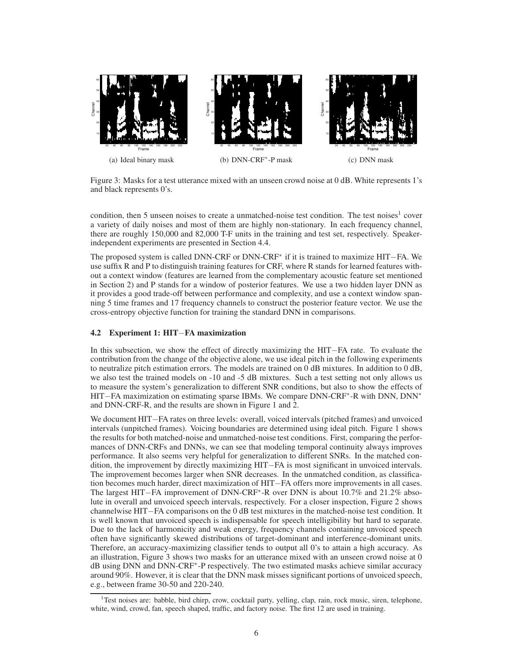

Figure 3: Masks for a test utterance mixed with an unseen crowd noise at 0 dB. White represents 1's and black represents 0's.

condition, then 5 unseen noises to create a unmatched-noise test condition. The test noises<sup>1</sup> cover a variety of daily noises and most of them are highly non-stationary. In each frequency channel, there are roughly 150,000 and 82,000 T-F units in the training and test set, respectively. Speakerindependent experiments are presented in Section 4.4.

The proposed system is called DNN-CRF or DNN-CRF<sup>∗</sup> if it is trained to maximize HIT−FA. We use suffix R and P to distinguish training features for CRF, where R stands for learned features without a context window (features are learned from the complementary acoustic feature set mentioned in Section 2) and P stands for a window of posterior features. We use a two hidden layer DNN as it provides a good trade-off between performance and complexity, and use a context window spanning 5 time frames and 17 frequency channels to construct the posterior feature vector. We use the cross-entropy objective function for training the standard DNN in comparisons.

#### **4.2 Experiment 1: HIT**−**FA maximization**

In this subsection, we show the effect of directly maximizing the HIT−FA rate. To evaluate the contribution from the change of the objective alone, we use ideal pitch in the following experiments to neutralize pitch estimation errors. The models are trained on 0 dB mixtures. In addition to 0 dB, we also test the trained models on -10 and -5 dB mixtures. Such a test setting not only allows us to measure the system's generalization to different SNR conditions, but also to show the effects of HIT–FA maximization on estimating sparse IBMs. We compare DNN-CRF<sup>\*</sup>-R with DNN, DNN<sup>\*</sup> and DNN-CRF-R, and the results are shown in Figure 1 and 2.

We document HIT−FA rates on three levels: overall, voiced intervals (pitched frames) and unvoiced intervals (unpitched frames). Voicing boundaries are determined using ideal pitch. Figure 1 shows the results for both matched-noise and unmatched-noise test conditions. First, comparing the performances of DNN-CRFs and DNNs, we can see that modeling temporal continuity always improves performance. It also seems very helpful for generalization to different SNRs. In the matched condition, the improvement by directly maximizing HIT−FA is most significant in unvoiced intervals. The improvement becomes larger when SNR decreases. In the unmatched condition, as classification becomes much harder, direct maximization of HIT−FA offers more improvements in all cases. The largest HIT−FA improvement of DNN-CRF<sup>∗</sup> -R over DNN is about 10.7% and 21.2% absolute in overall and unvoiced speech intervals, respectively. For a closer inspection, Figure 2 shows channelwise HIT−FA comparisons on the 0 dB test mixtures in the matched-noise test condition. It is well known that unvoiced speech is indispensable for speech intelligibility but hard to separate. Due to the lack of harmonicity and weak energy, frequency channels containing unvoiced speech often have significantly skewed distributions of target-dominant and interference-dominant units. Therefore, an accuracy-maximizing classifier tends to output all 0's to attain a high accuracy. As an illustration, Figure 3 shows two masks for an utterance mixed with an unseen crowd noise at 0 dB using DNN and DNN-CRF<sup>∗</sup> -P respectively. The two estimated masks achieve similar accuracy around 90%. However, it is clear that the DNN mask misses significant portions of unvoiced speech, e.g., between frame 30-50 and 220-240.

<sup>&</sup>lt;sup>1</sup>Test noises are: babble, bird chirp, crow, cocktail party, yelling, clap, rain, rock music, siren, telephone, white, wind, crowd, fan, speech shaped, traffic, and factory noise. The first 12 are used in training.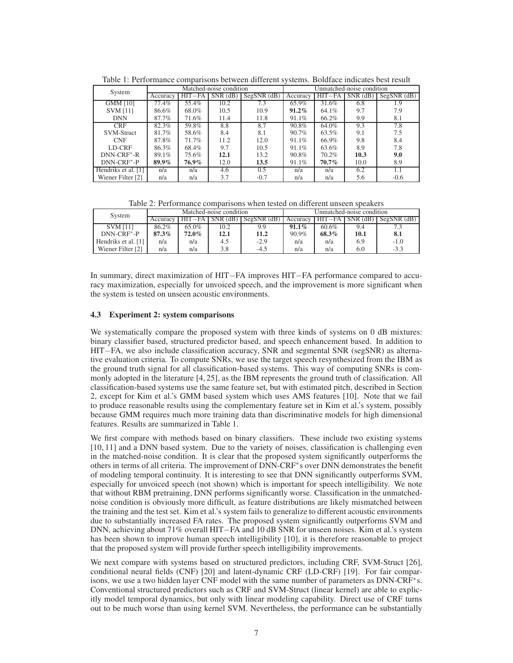| System                  | Matched-noise condition |          |                |               | Unmatched-noise condition |          |                |                   |
|-------------------------|-------------------------|----------|----------------|---------------|---------------------------|----------|----------------|-------------------|
|                         | Accuracy                | $HIT-FA$ | $SNR$ ( $dB$ ) | $SegSNR$ (dB) | Accuracy                  | $HIT-FA$ | $SNR$ ( $dB$ ) | $SegSNR$ ( $dB$ ) |
| <b>GMM [10]</b>         | 77.4%                   | 55.4%    | 10.2           | 7.3           | 65.9%                     | 31.6%    | 6.8            | 1.9               |
| <b>SVM</b> [11]         | 86.6%                   | 68.0%    | 10.5           | 10.9          | $91.2\%$                  | 64.1%    | 9.7            | 7.9               |
| <b>DNN</b>              | 87.7%                   | 71.6%    | 11.4           | 11.8          | 91.1%                     | 66.2%    | 9.9            | 8.1               |
| <b>CRF</b>              | 82.3%                   | 59.8%    | 8.8            | 8.7           | 90.8%                     | 64.0%    | 9.3            | 7.8               |
| <b>SVM-Struct</b>       | 81.7%                   | 58.6%    | 8.4            | 8.1           | $90.7\%$                  | 63.5%    | 9.1            | 7.5               |
| <b>CNF</b>              | 87.8%                   | 71.7%    | 11.2           | 12.0          | 91.1%                     | 66.9%    | 9.8            | 8.4               |
| LD-CRF                  | 86.3%                   | 68.4%    | 9.7            | 10.5          | 91.1%                     | 63.6%    | 8.9            | 7.8               |
| DNN-CRF <sup>*</sup> -R | 89.1%                   | 75.6%    | 12.1           | 13.2          | 90.8%                     | 70.2%    | 10.3           | 9.0               |
| DNN-CRF <sup>*</sup> -P | 89.9%                   | 76.9%    | 12.0           | 13.5          | 91.1%                     | 70.7%    | 10.0           | 8.9               |
| Hendriks et al. [1]     | n/a                     | n/a      | 4.6            | 0.5           | n/a                       | n/a      | 6.2            | 1.1               |
| Wiener Filter [2]       | n/a                     | n/a      | 3.7            | $-0.7$        | n/a                       | n/a      | 5.6            | $-0.6$            |

Table 1: Performance comparisons between different systems. Boldface indicates best result

Table 2: Performance comparisons when tested on different unseen speakers

| System              |          |          | Matched-noise condition |               | Unmatched-noise condition |        |            |               |
|---------------------|----------|----------|-------------------------|---------------|---------------------------|--------|------------|---------------|
|                     | Accuracy | $HIT-FA$ | $SNR$ (dB)              | $SeeSNR$ (dB) | Accuracy                  | HIT–FA | $SNR$ (dB) | $SegSNR$ (dB) |
| <b>SVM</b> [11]     | 86.2%    | 65.0%    | 10.2                    | 9.9           | $91.1\%$                  | 60.6%  | 9.4        |               |
| $DNN-CRF^* - P$     | 87.3%    | 72.0%    | 12.1                    | 11.2          | 90.9%                     | 68.3%  | 10.1       | 8.1           |
| Hendriks et al. [1] | n/a      | n/a      | 4.5                     | $-2.9$        | n/a                       | n/a    | 6.9        | $-1.0$        |
| Wiener Filter [2]   | n/a      | n/a      | 3.8                     | -4.5          | n/a                       | n/a    | 6.0        | $-3.3$        |

In summary, direct maximization of HIT−FA improves HIT−FA performance compared to accuracy maximization, especially for unvoiced speech, and the improvement is more significant when the system is tested on unseen acoustic environments.

### **4.3 Experiment 2: system comparisons**

We systematically compare the proposed system with three kinds of systems on 0 dB mixtures: binary classifier based, structured predictor based, and speech enhancement based. In addition to HIT–FA, we also include classification accuracy, SNR and segmental SNR (segSNR) as alternative evaluation criteria. To compute SNRs, we use the target speech resynthesized from the IBM as the ground truth signal for all classification-based systems. This way of computing SNRs is commonly adopted in the literature [4, 25], as the IBM represents the ground truth of classification. All classification-based systems use the same feature set, but with estimated pitch, described in Section 2, except for Kim et al.'s GMM based system which uses AMS features [10]. Note that we fail to produce reasonable results using the complementary feature set in Kim et al.'s system, possibly because GMM requires much more training data than discriminative models for high dimensional features. Results are summarized in Table 1.

We first compare with methods based on binary classifiers. These include two existing systems [10, 11] and a DNN based system. Due to the variety of noises, classification is challenging even in the matched-noise condition. It is clear that the proposed system significantly outperforms the others in terms of all criteria. The improvement of DNN-CRF<sup>∗</sup> s over DNN demonstrates the benefit of modeling temporal continuity. It is interesting to see that DNN significantly outperforms SVM, especially for unvoiced speech (not shown) which is important for speech intelligibility. We note that without RBM pretraining, DNN performs significantly worse. Classification in the unmatchednoise condition is obviously more difficult, as feature distributions are likely mismatched between the training and the test set. Kim et al.'s system fails to generalize to different acoustic environments due to substantially increased FA rates. The proposed system significantly outperforms SVM and DNN, achieving about 71% overall HIT−FA and 10 dB SNR for unseen noises. Kim et al.'s system has been shown to improve human speech intelligibility [10], it is therefore reasonable to project that the proposed system will provide further speech intelligibility improvements.

We next compare with systems based on structured predictors, including CRF, SVM-Struct [26], conditional neural fields (CNF) [20] and latent-dynamic CRF (LD-CRF) [19]. For fair comparisons, we use a two hidden layer CNF model with the same number of parameters as DNN-CRF<sup>∗</sup>s. Conventional structured predictors such as CRF and SVM-Struct (linear kernel) are able to explicitly model temporal dynamics, but only with linear modeling capability. Direct use of CRF turns out to be much worse than using kernel SVM. Nevertheless, the performance can be substantially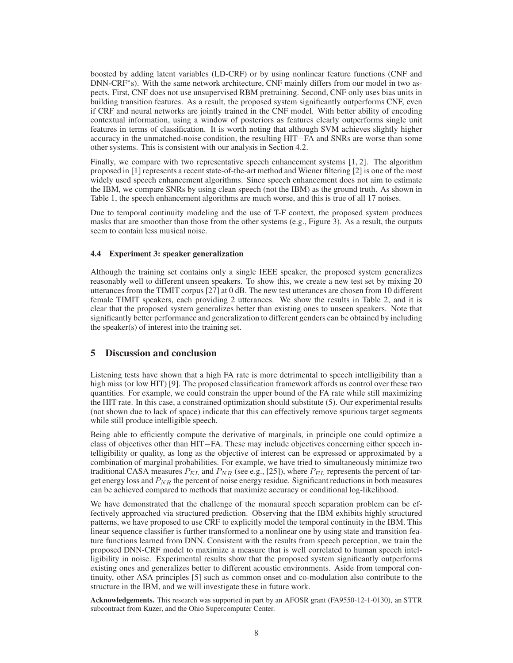boosted by adding latent variables (LD-CRF) or by using nonlinear feature functions (CNF and DNN-CRF<sup>∗</sup>s). With the same network architecture, CNF mainly differs from our model in two aspects. First, CNF does not use unsupervised RBM pretraining. Second, CNF only uses bias units in building transition features. As a result, the proposed system significantly outperforms CNF, even if CRF and neural networks are jointly trained in the CNF model. With better ability of encoding contextual information, using a window of posteriors as features clearly outperforms single unit features in terms of classification. It is worth noting that although SVM achieves slightly higher accuracy in the unmatched-noise condition, the resulting HIT−FA and SNRs are worse than some other systems. This is consistent with our analysis in Section 4.2.

Finally, we compare with two representative speech enhancement systems [1, 2]. The algorithm proposed in [1] represents a recent state-of-the-art method and Wiener filtering [2] is one of the most widely used speech enhancement algorithms. Since speech enhancement does not aim to estimate the IBM, we compare SNRs by using clean speech (not the IBM) as the ground truth. As shown in Table 1, the speech enhancement algorithms are much worse, and this is true of all 17 noises.

Due to temporal continuity modeling and the use of T-F context, the proposed system produces masks that are smoother than those from the other systems (e.g., Figure 3). As a result, the outputs seem to contain less musical noise.

#### **4.4 Experiment 3: speaker generalization**

Although the training set contains only a single IEEE speaker, the proposed system generalizes reasonably well to different unseen speakers. To show this, we create a new test set by mixing 20 utterances from the TIMIT corpus [27] at 0 dB. The new test utterances are chosen from 10 different female TIMIT speakers, each providing 2 utterances. We show the results in Table 2, and it is clear that the proposed system generalizes better than existing ones to unseen speakers. Note that significantly better performance and generalization to different genders can be obtained by including the speaker(s) of interest into the training set.

### **5 Discussion and conclusion**

Listening tests have shown that a high FA rate is more detrimental to speech intelligibility than a high miss (or low HIT) [9]. The proposed classification framework affords us control over these two quantities. For example, we could constrain the upper bound of the FA rate while still maximizing the HIT rate. In this case, a constrained optimization should substitute (5). Our experimental results (not shown due to lack of space) indicate that this can effectively remove spurious target segments while still produce intelligible speech.

Being able to efficiently compute the derivative of marginals, in principle one could optimize a class of objectives other than HIT−FA. These may include objectives concerning either speech intelligibility or quality, as long as the objective of interest can be expressed or approximated by a combination of marginal probabilities. For example, we have tried to simultaneously minimize two traditional CASA measures  $P_{EL}$  and  $P_{NR}$  (see e.g., [25]), where  $P_{EL}$  represents the percent of target energy loss and  $P_{NR}$  the percent of noise energy residue. Significant reductions in both measures can be achieved compared to methods that maximize accuracy or conditional log-likelihood.

We have demonstrated that the challenge of the monaural speech separation problem can be effectively approached via structured prediction. Observing that the IBM exhibits highly structured patterns, we have proposed to use CRF to explicitly model the temporal continuity in the IBM. This linear sequence classifier is further transformed to a nonlinear one by using state and transition feature functions learned from DNN. Consistent with the results from speech perception, we train the proposed DNN-CRF model to maximize a measure that is well correlated to human speech intelligibility in noise. Experimental results show that the proposed system significantly outperforms existing ones and generalizes better to different acoustic environments. Aside from temporal continuity, other ASA principles [5] such as common onset and co-modulation also contribute to the structure in the IBM, and we will investigate these in future work.

**Acknowledgements.** This research was supported in part by an AFOSR grant (FA9550-12-1-0130), an STTR subcontract from Kuzer, and the Ohio Supercomputer Center.